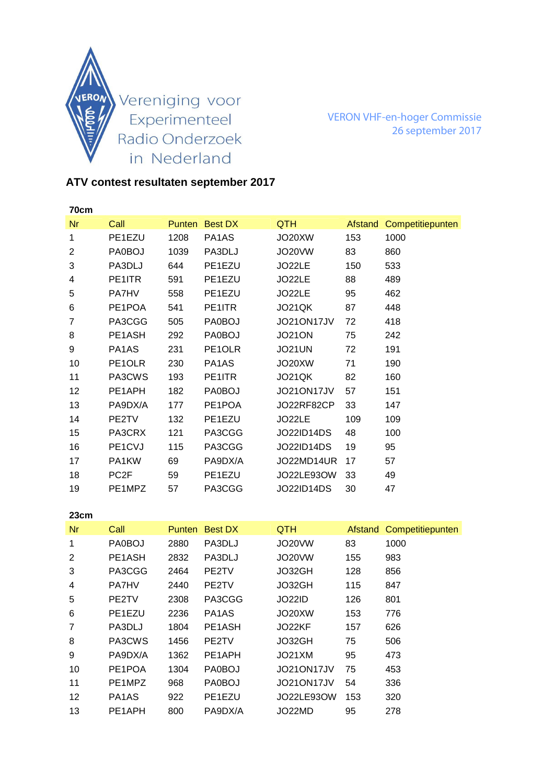

VERON VHF-en-hoger Commissie 26 september 2017

## **ATV contest resultaten september 2017**

| 70cm           |                  |      |                |                   |         |                  |
|----------------|------------------|------|----------------|-------------------|---------|------------------|
| <b>Nr</b>      | Call             |      | Punten Best DX | <b>QTH</b>        | Afstand | Competitiepunten |
| 1              | PE1EZU           | 1208 | PA1AS          | JO20XW            | 153     | 1000             |
| $\overline{2}$ | PA0BOJ           | 1039 | PA3DLJ         | JO20VW            | 83      | 860              |
| 3              | PA3DLJ           | 644  | PE1EZU         | JO22LE            | 150     | 533              |
| 4              | PE1ITR           | 591  | PE1EZU         | JO22LE            | 88      | 489              |
| 5              | <b>PA7HV</b>     | 558  | PE1EZU         | JO22LE            | 95      | 462              |
| 6              | PE1POA           | 541  | PE1ITR         | JO21QK            | 87      | 448              |
| 7              | PA3CGG           | 505  | PA0BOJ         | JO21ON17JV        | 72      | 418              |
| 8              | PE1ASH           | 292  | PA0BOJ         | <b>JO21ON</b>     | 75      | 242              |
| 9              | PA1AS            | 231  | PE1OLR         | <b>JO21UN</b>     | 72      | 191              |
| 10             | PE1OLR           | 230  | PA1AS          | JO20XW            | 71      | 190              |
| 11             | PA3CWS           | 193  | PE1ITR         | JO21QK            | 82      | 160              |
| 12             | PE1APH           | 182  | PA0BOJ         | JO21ON17JV        | 57      | 151              |
| 13             | PA9DX/A          | 177  | PE1POA         | JO22RF82CP        | 33      | 147              |
| 14             | PE2TV            | 132  | PE1EZU         | JO22LE            | 109     | 109              |
| 15             | PA3CRX           | 121  | PA3CGG         | <b>JO22ID14DS</b> | 48      | 100              |
| 16             | PE1CVJ           | 115  | PA3CGG         | <b>JO22ID14DS</b> | 19      | 95               |
| 17             | PA1KW            | 69   | PA9DX/A        | JO22MD14UR        | 17      | 57               |
| 18             | PC <sub>2F</sub> | 59   | PE1EZU         | JO22LE93OW        | 33      | 49               |
| 19             | PE1MPZ           | 57   | PA3CGG         | <b>JO22ID14DS</b> | 30      | 47               |

| 23cm           |                                 |               |                                |            |         |                  |
|----------------|---------------------------------|---------------|--------------------------------|------------|---------|------------------|
| Nr             | Call                            | <b>Punten</b> | <b>Best DX</b>                 | QTH.       | Afstand | Competitiepunten |
| 1              | PA0BOJ                          | 2880          | PA3DLJ                         | JO20VW     | 83      | 1000             |
| 2              | PE <sub>1</sub> A <sub>SH</sub> | 2832          | PA3DLJ                         | JO20VW     | 155     | 983              |
| 3              | PA3CGG                          | 2464          | PE2TV                          | JO32GH     | 128     | 856              |
| 4              | <b>PA7HV</b>                    | 2440          | PE2TV                          | JO32GH     | 115     | 847              |
| 5              | PE2TV                           | 2308          | PA3CGG                         | JO22ID     | 126     | 801              |
| 6              | PE <sub>1</sub> EZU             | 2236          | PA <sub>1</sub> A <sub>S</sub> | JO20XW     | 153     | 776              |
| $\overline{7}$ | PA3DLJ                          | 1804          | PE1ASH                         | JO22KF     | 157     | 626              |
| 8              | PA3CWS                          | 1456          | PE2TV                          | JO32GH     | 75      | 506              |
| 9              | PA9DX/A                         | 1362          | PE1APH                         | JO21XM     | 95      | 473              |
| 10             | PE1POA                          | 1304          | PA0BOJ                         | JO21ON17JV | 75      | 453              |
| 11             | PE1MPZ                          | 968           | PA0BOJ                         | JO21ON17JV | 54      | 336              |
| 12             | PA <sub>1</sub> A <sub>S</sub>  | 922           | PE1EZU                         | JO22LE93OW | 153     | 320              |
| 13             | PE1APH                          | 800           | PA9DX/A                        | JO22MD     | 95      | 278              |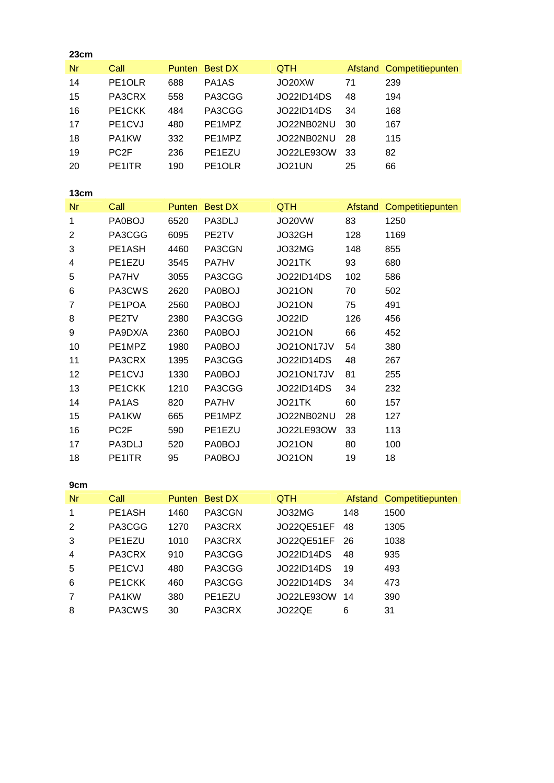| 23cm           |                   |      |                |                   |         |                          |
|----------------|-------------------|------|----------------|-------------------|---------|--------------------------|
| <b>Nr</b>      | Call              |      | Punten Best DX | QTH               |         | Afstand Competitiepunten |
| 14             | PE1OLR            | 688  | PA1AS          | JO20XW            | 71      | 239                      |
| 15             | PA3CRX            | 558  | PA3CGG         | <b>JO22ID14DS</b> | 48      | 194                      |
| 16             | PE1CKK            | 484  | PA3CGG         | <b>JO22ID14DS</b> | 34      | 168                      |
| 17             | PE1CVJ            | 480  | PE1MPZ         | JO22NB02NU        | 30      | 167                      |
| 18             | PA1KW             | 332  | PE1MPZ         | JO22NB02NU        | 28      | 115                      |
| 19             | PC <sub>2F</sub>  | 236  | PE1EZU         | JO22LE93OW        | 33      | 82                       |
| 20             | PE1ITR            | 190  | PE1OLR         | <b>JO21UN</b>     | 25      | 66                       |
| 13cm           |                   |      |                |                   |         |                          |
| <b>Nr</b>      | Call              |      | Punten Best DX | QTH               | Afstand | Competitiepunten         |
| 1              | PA0BOJ            | 6520 | PA3DLJ         | <b>JO20VW</b>     | 83      | 1250                     |
| $\overline{2}$ | PA3CGG            | 6095 | PE2TV          | JO32GH            | 128     | 1169                     |
| 3              | PE1ASH            | 4460 | PA3CGN         | JO32MG            | 148     | 855                      |
| 4              | PE1EZU            | 3545 | PA7HV          | JO21TK            | 93      | 680                      |
| 5              | PA7HV             | 3055 | PA3CGG         | <b>JO22ID14DS</b> | 102     | 586                      |
| 6              | PA3CWS            | 2620 | <b>PA0BOJ</b>  | <b>JO21ON</b>     | 70      | 502                      |
| $\overline{7}$ | PE1POA            | 2560 | <b>PA0BOJ</b>  | <b>JO21ON</b>     | 75      | 491                      |
| 8              | PE2TV             | 2380 | PA3CGG         | <b>JO22ID</b>     | 126     | 456                      |
| 9              | PA9DX/A           | 2360 | <b>PA0BOJ</b>  | <b>JO21ON</b>     | 66      | 452                      |
| 10             | PE1MPZ            | 1980 | PA0BOJ         | JO21ON17JV        | 54      | 380                      |
| 11             | PA3CRX            | 1395 | PA3CGG         | <b>JO22ID14DS</b> | 48      | 267                      |
| 12             | PE1CVJ            | 1330 | <b>PA0BOJ</b>  | JO21ON17JV        | 81      | 255                      |
| 13             | PE1CKK            | 1210 | PA3CGG         | <b>JO22ID14DS</b> | 34      | 232                      |
| 14             | PA1AS             | 820  | PA7HV          | JO21TK            | 60      | 157                      |
| 15             | PA1KW             | 665  | PE1MPZ         | JO22NB02NU        | 28      | 127                      |
| 16             | PC <sub>2</sub> F | 590  | PE1EZU         | JO22LE93OW        | 33      | 113                      |
| 17             | PA3DLJ            | 520  | <b>PA0BOJ</b>  | <b>JO21ON</b>     | 80      | 100                      |
| 18             | PE1ITR            | 95   | <b>PA0BOJ</b>  | <b>JO21ON</b>     | 19      | 18                       |
| 9cm            |                   |      |                |                   |         |                          |
| <b>Nr</b>      | Call              |      | Punten Best DX | <b>QTH</b>        | Afstand | Competitiepunten         |
| 1              | PE1ASH            | 1460 | PA3CGN         | JO32MG            | 148     | 1500                     |
| $\overline{2}$ | PA3CGG            | 1270 | PA3CRX         | JO22QE51EF        | 48      | 1305                     |
| 3              | PE1EZU            | 1010 | PA3CRX         | JO22QE51EF        | 26      | 1038                     |
| 4              | PA3CRX            | 910  | PA3CGG         | <b>JO22ID14DS</b> | 48      | 935                      |
| 5              | PE1CVJ            | 480  | PA3CGG         | <b>JO22ID14DS</b> | 19      | 493                      |
| 6              | PE1CKK            | 460  | PA3CGG         | <b>JO22ID14DS</b> | 34      | 473                      |
| $\overline{7}$ | PA1KW             | 380  | PE1EZU         | JO22LE93OW        | 14      | 390                      |
| 8              | PA3CWS            | 30   | PA3CRX         | JO22QE            | 6       | 31                       |
|                |                   |      |                |                   |         |                          |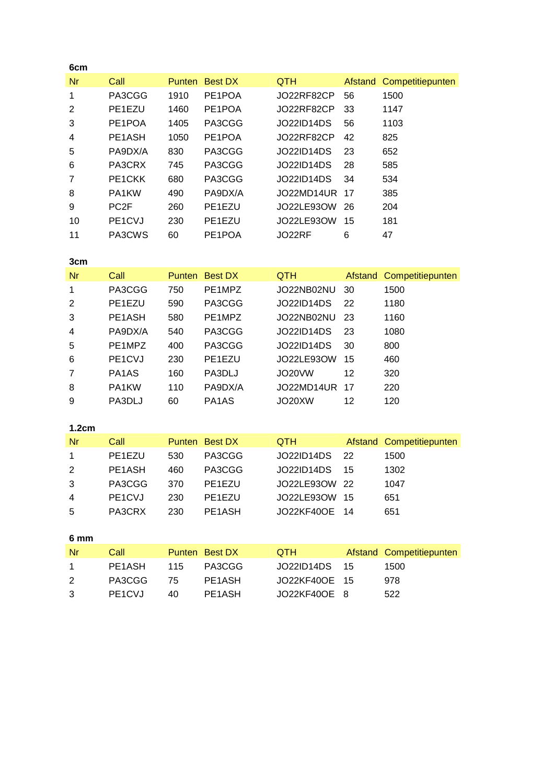| 6cm            |                  |               |                |                   |         |                          |
|----------------|------------------|---------------|----------------|-------------------|---------|--------------------------|
| <b>Nr</b>      | Call             | <b>Punten</b> | <b>Best DX</b> | QTH               | Afstand | Competitiepunten         |
| 1              | PA3CGG           | 1910          | PE1POA         | JO22RF82CP        | 56      | 1500                     |
| $\overline{2}$ | PE1EZU           | 1460          | PE1POA         | 33<br>JO22RF82CP  |         | 1147                     |
| 3              | PE1POA           | 1405          | PA3CGG         | <b>JO22ID14DS</b> | 56      | 1103                     |
| 4              | PE1ASH           | 1050          | PE1POA         | JO22RF82CP        | 42      | 825                      |
| 5              | PA9DX/A          | 830           | PA3CGG         | <b>JO22ID14DS</b> | 23      | 652                      |
| 6              | PA3CRX           | 745           | PA3CGG         | <b>JO22ID14DS</b> | 28      | 585                      |
| 7              | PE1CKK           | 680           | PA3CGG         | <b>JO22ID14DS</b> | 34      | 534                      |
| 8              | PA1KW            | 490           | PA9DX/A        | JO22MD14UR        | 17      | 385                      |
| 9              | PC <sub>2F</sub> | 260           | PE1EZU         | JO22LE93OW        | 26      | 204                      |
| 10             | PE1CVJ           | 230           | PE1EZU         | JO22LE93OW        | 15      | 181                      |
| 11             | PA3CWS           | 60            | PE1POA         | JO22RF            | 6       | 47                       |
|                |                  |               |                |                   |         |                          |
| 3cm            |                  |               |                |                   |         |                          |
| <b>Nr</b>      | Call             | Punten        | <b>Best DX</b> | QTH               | Afstand | Competitiepunten         |
| 1              | PA3CGG           | 750           | PE1MPZ         | JO22NB02NU        | 30      | 1500                     |
| 2              | PE1EZU           | 590           | PA3CGG         | <b>JO22ID14DS</b> | 22      | 1180                     |
| 3              | PE1ASH           | 580           | PE1MPZ         | JO22NB02NU        | 23      | 1160                     |
| 4              | PA9DX/A          | 540           | PA3CGG         | <b>JO22ID14DS</b> | 23      | 1080                     |
| 5              | PE1MPZ           | 400           | PA3CGG         | <b>JO22ID14DS</b> | 30      | 800                      |
| 6              | PE1CVJ           | 230           | PE1EZU         | <b>JO22LE93OW</b> | 15      | 460                      |
| 7              | PA1AS            | 160           | PA3DLJ         | <b>JO20VW</b>     | 12      | 320                      |
| 8              | PA1KW            | 110           | PA9DX/A        | JO22MD14UR        | 17      | 220                      |
| 9              | PA3DLJ           | 60            | PA1AS          | JO20XW            | 12      | 120                      |
|                |                  |               |                |                   |         |                          |
| 1.2cm          |                  |               |                |                   |         |                          |
| <b>Nr</b>      | Call             | Punten        | <b>Best DX</b> | QTH               | Afstand | Competitiepunten         |
| 1              | PE1EZU           | 530           | PA3CGG         | <b>JO22ID14DS</b> | 22      | 1500                     |
| $\overline{2}$ | PE1ASH           | 460           | PA3CGG         | <b>JO22ID14DS</b> | 15      | 1302                     |
| 3              | PA3CGG           | 370           | PE1EZU         | JO22LE93OW        | 22      | 1047                     |
| 4              | PE1CVJ           | 230           | PE1EZU         | JO22LE93OW        | 15      | 651                      |
| 5              | PA3CRX           | 230           | PE1ASH         | <b>JO22KF40OE</b> | 14      | 651                      |
|                |                  |               |                |                   |         |                          |
| 6 mm           |                  |               |                |                   |         |                          |
| <b>Nr</b>      | Call             | <b>Punten</b> | <b>Best DX</b> | QTH               |         | Afstand Competitiepunten |
| 1              | PE1ASH           | 115           | PA3CGG         | <b>JO22ID14DS</b> | 15      | 1500                     |
| $\overline{2}$ | PA3CGG           | 75            | PE1ASH         | <b>JO22KF40OE</b> | 15      | 978                      |
| 3              | PE1CVJ           | 40            | PE1ASH         | JO22KF40OE        | 8       | 522                      |